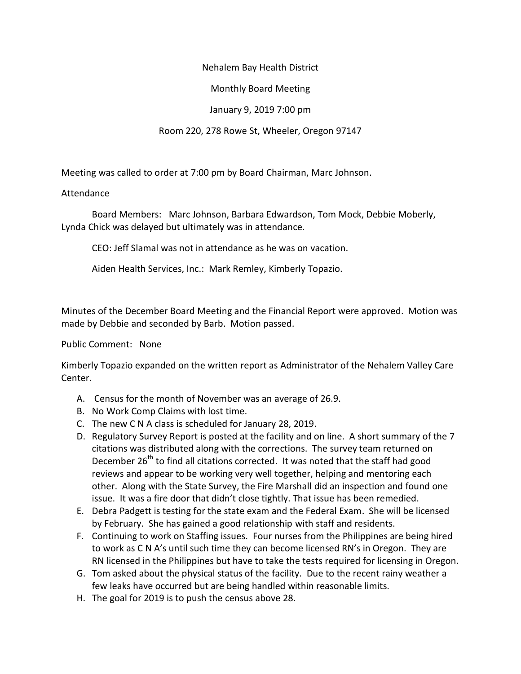### Nehalem Bay Health District

# Monthly Board Meeting

## January 9, 2019 7:00 pm

## Room 220, 278 Rowe St, Wheeler, Oregon 97147

Meeting was called to order at 7:00 pm by Board Chairman, Marc Johnson.

### Attendance

Board Members: Marc Johnson, Barbara Edwardson, Tom Mock, Debbie Moberly, Lynda Chick was delayed but ultimately was in attendance.

CEO: Jeff Slamal was not in attendance as he was on vacation.

Aiden Health Services, Inc.: Mark Remley, Kimberly Topazio.

Minutes of the December Board Meeting and the Financial Report were approved. Motion was made by Debbie and seconded by Barb. Motion passed.

#### Public Comment: None

Kimberly Topazio expanded on the written report as Administrator of the Nehalem Valley Care Center.

- A. Census for the month of November was an average of 26.9.
- B. No Work Comp Claims with lost time.
- C. The new C N A class is scheduled for January 28, 2019.
- D. Regulatory Survey Report is posted at the facility and on line. A short summary of the 7 citations was distributed along with the corrections. The survey team returned on December 26<sup>th</sup> to find all citations corrected. It was noted that the staff had good reviews and appear to be working very well together, helping and mentoring each other. Along with the State Survey, the Fire Marshall did an inspection and found one issue. It was a fire door that didn't close tightly. That issue has been remedied.
- E. Debra Padgett is testing for the state exam and the Federal Exam. She will be licensed by February. She has gained a good relationship with staff and residents.
- F. Continuing to work on Staffing issues. Four nurses from the Philippines are being hired to work as C N A's until such time they can become licensed RN's in Oregon. They are RN licensed in the Philippines but have to take the tests required for licensing in Oregon.
- G. Tom asked about the physical status of the facility. Due to the recent rainy weather a few leaks have occurred but are being handled within reasonable limits.
- H. The goal for 2019 is to push the census above 28.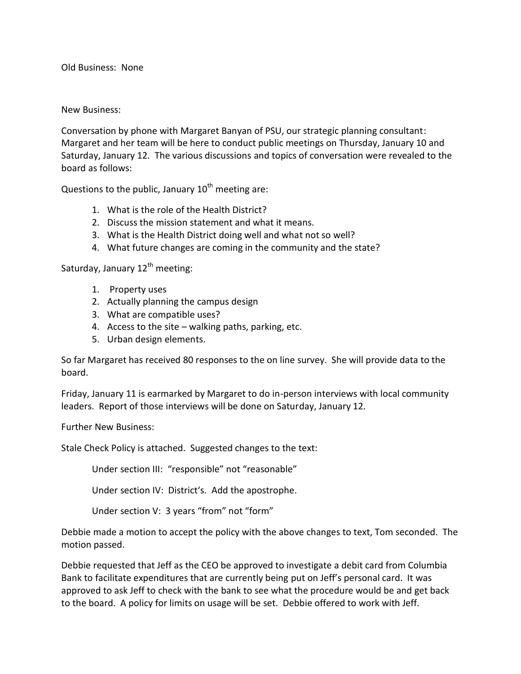Old Business: None

#### New Business:

Conversation by phone with Margaret Banyan of PSU, our strategic planning consultant: Margaret and her team will be here to conduct public meetings on Thursday, January 10 and Saturday, January 12. The various discussions and topics of conversation were revealed to the board as follows:

Questions to the public, January  $10^{th}$  meeting are:

- 1. What is the role of the Health District?
- 2. Discuss the mission statement and what it means.
- 3. What is the Health District doing well and what not so well?
- 4. What future changes are coming in the community and the state?

Saturday, January  $12<sup>th</sup>$  meeting:

- 1. Property uses
- 2. Actually planning the campus design
- 3. What are compatible uses?
- 4. Access to the site walking paths, parking, etc.
- 5. Urban design elements.

So far Margaret has received 80 responses to the on line survey. She will provide data to the board.

Friday, January 11 is earmarked by Margaret to do in-person interviews with local community leaders. Report of those interviews will be done on Saturday, January 12.

Further New Business:

Stale Check Policy is attached. Suggested changes to the text:

Under section III: "responsible" not "reasonable"

Under section IV: District's. Add the apostrophe.

Under section V: 3 years "from" not "form"

Debbie made a motion to accept the policy with the above changes to text, Tom seconded. The motion passed.

Debbie requested that Jeff as the CEO be approved to investigate a debit card from Columbia Bank to facilitate expenditures that are currently being put on Jeff's personal card. It was approved to ask Jeff to check with the bank to see what the procedure would be and get back to the board. A policy for limits on usage will be set. Debbie offered to work with Jeff.